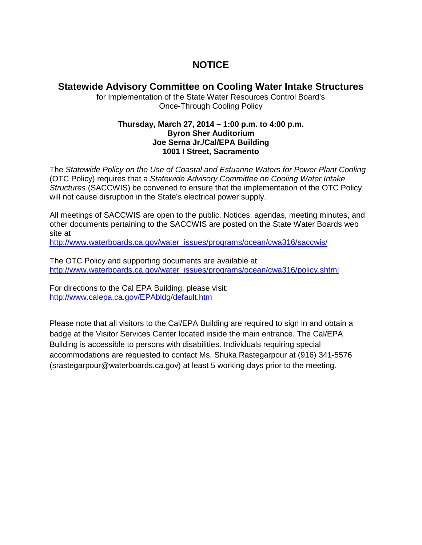## **NOTICE**

### **Statewide Advisory Committee on Cooling Water Intake Structures**

for Implementation of the State Water Resources Control Board's Once-Through Cooling Policy

#### **Thursday, March 27, 2014 – 1:00 p.m. to 4:00 p.m. Byron Sher Auditorium Joe Serna Jr./Cal/EPA Building 1001 I Street, Sacramento**

The *Statewide Policy on the Use of Coastal and Estuarine Waters for Power Plant Cooling*  (OTC Policy) requires that a *Statewide Advisory Committee on Cooling Water Intake Structures* (SACCWIS) be convened to ensure that the implementation of the OTC Policy will not cause disruption in the State's electrical power supply.

All meetings of SACCWIS are open to the public. Notices, agendas, meeting minutes, and other documents pertaining to the SACCWIS are posted on the State Water Boards web site at

[http://www.waterboards.ca.gov/water\\_issues/programs/ocean/cwa316/saccwis/](http://www.waterboards.ca.gov/water_issues/programs/ocean/cwa316/saccwis/)

The OTC Policy and supporting documents are available at [http://www.waterboards.ca.gov/water\\_issues/programs/ocean/cwa316/policy.shtml](http://www.waterboards.ca.gov/water_issues/programs/ocean/cwa316/policy.shtml)

For directions to the Cal EPA Building, please visit: <http://www.calepa.ca.gov/EPAbldg/default.htm>

Please note that all visitors to the Cal/EPA Building are required to sign in and obtain a badge at the Visitor Services Center located inside the main entrance. The Cal/EPA Building is accessible to persons with disabilities. Individuals requiring special accommodations are requested to contact Ms. Shuka Rastegarpour at (916) 341-5576 (srastegarpour@waterboards.ca.gov) at least 5 working days prior to the meeting.